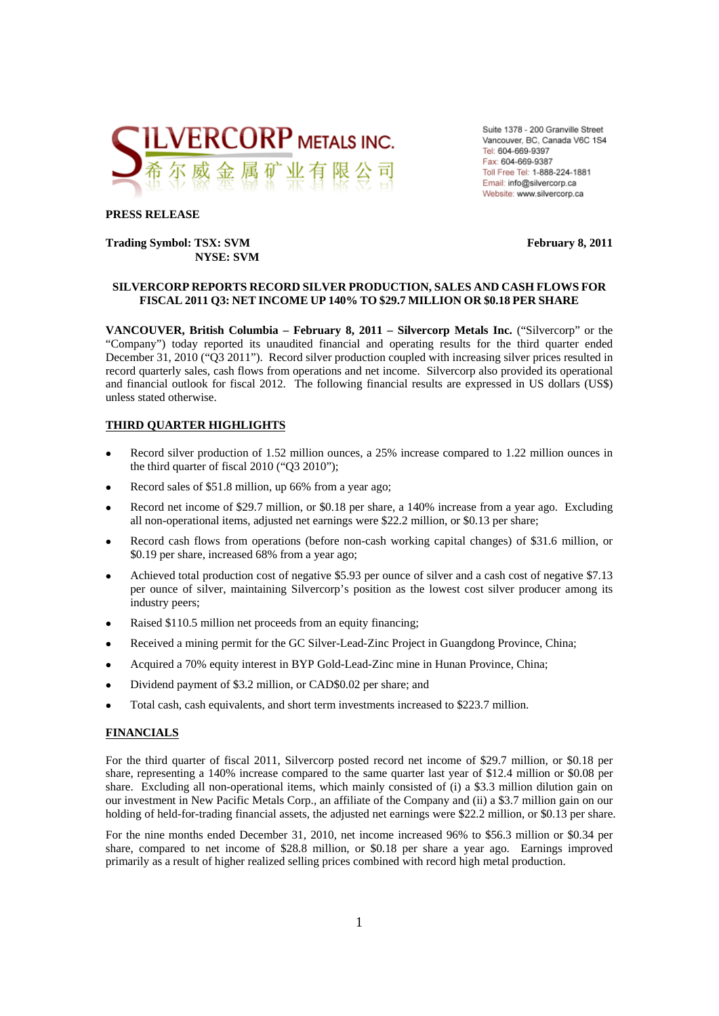

Suite 1378 - 200 Granville Street Vancouver, BC, Canada V6C 1S4 Tel: 604-669-9397 Fax: 604-669-9387 Toll Free Tel: 1-888-224-1881 Email: info@silvercorp.ca Website: www.silvercorp.ca

#### **PRESS RELEASE**

#### **Trading Symbol: TSX: SVM February 8, 2011 NYSE: SVM**

#### **SILVERCORP REPORTS RECORD SILVER PRODUCTION, SALES AND CASH FLOWS FOR FISCAL 2011 Q3: NET INCOME UP 140% TO \$29.7 MILLION OR \$0.18 PER SHARE**

VANCOUVER, British Columbia – February 8, 2011 – Silvercorp Metals Inc. ("Silvercorp" or the "Company") today reported its unaudited financial and operating results for the third quarter ended December 31, 2010 ("Q3 2011"). Record silver production coupled with increasing silver prices resulted in record quarterly sales, cash flows from operations and net income. Silvercorp also provided its operational and financial outlook for fiscal 2012. The following financial results are expressed in US dollars (US\$) unless stated otherwise.

#### **THIRD QUARTER HIGHLIGHTS**

- Record silver production of 1.52 million ounces, a 25% increase compared to 1.22 million ounces in the third quarter of fiscal 2010 ("Q3 2010");
- Record sales of \$51.8 million, up 66% from a year ago;
- Record net income of \$29.7 million, or \$0.18 per share, a 140% increase from a year ago. Excluding all non-operational items, adjusted net earnings were \$22.2 million, or \$0.13 per share;
- Record cash flows from operations (before non-cash working capital changes) of \$31.6 million, or \$0.19 per share, increased 68% from a year ago;
- Achieved total production cost of negative \$5.93 per ounce of silver and a cash cost of negative \$7.13 per ounce of silver, maintaining Silvercorp's position as the lowest cost silver producer among its industry peers;
- Raised \$110.5 million net proceeds from an equity financing;
- Received a mining permit for the GC Silver-Lead-Zinc Project in Guangdong Province, China;
- Acquired a 70% equity interest in BYP Gold-Lead-Zinc mine in Hunan Province, China;
- Dividend payment of \$3.2 million, or CAD\$0.02 per share; and
- Total cash, cash equivalents, and short term investments increased to \$223.7 million.

#### **FINANCIALS**

For the third quarter of fiscal 2011, Silvercorp posted record net income of \$29.7 million, or \$0.18 per share, representing a 140% increase compared to the same quarter last year of \$12.4 million or \$0.08 per share. Excluding all non-operational items, which mainly consisted of (i) a \$3.3 million dilution gain on our investment in New Pacific Metals Corp., an affiliate of the Company and (ii) a \$3.7 million gain on our holding of held-for-trading financial assets, the adjusted net earnings were \$22.2 million, or \$0.13 per share.

For the nine months ended December 31, 2010, net income increased 96% to \$56.3 million or \$0.34 per share, compared to net income of \$28.8 million, or \$0.18 per share a year ago. Earnings improved primarily as a result of higher realized selling prices combined with record high metal production.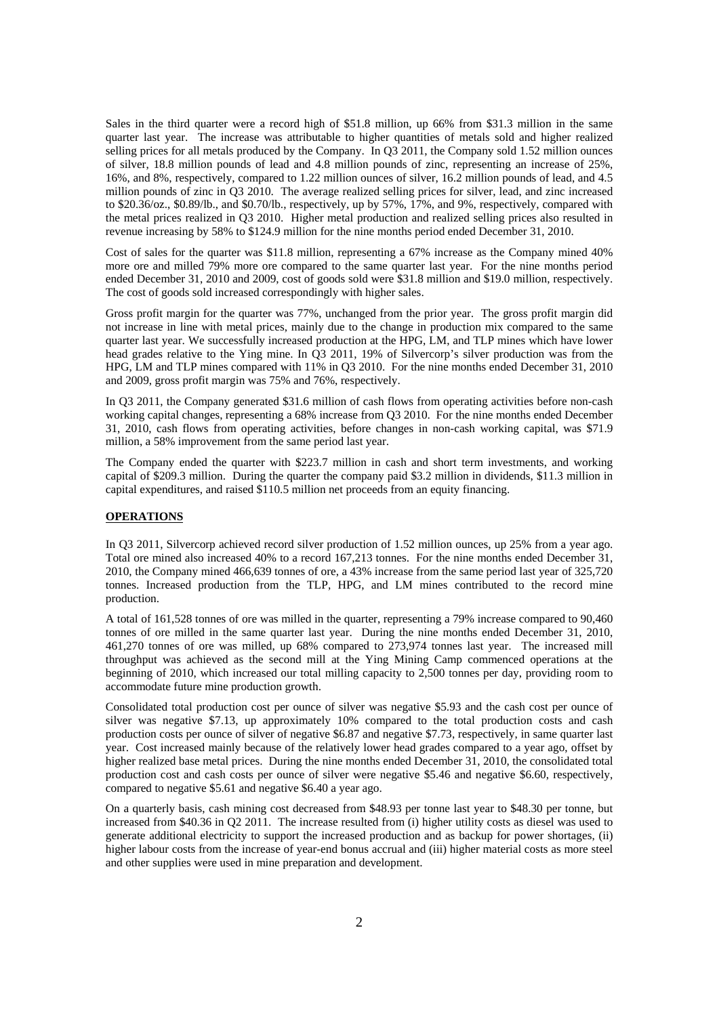Sales in the third quarter were a record high of \$51.8 million, up 66% from \$31.3 million in the same quarter last year. The increase was attributable to higher quantities of metals sold and higher realized selling prices for all metals produced by the Company. In Q3 2011, the Company sold 1.52 million ounces of silver, 18.8 million pounds of lead and 4.8 million pounds of zinc, representing an increase of 25%, 16%, and 8%, respectively, compared to 1.22 million ounces of silver, 16.2 million pounds of lead, and 4.5 million pounds of zinc in Q3 2010. The average realized selling prices for silver, lead, and zinc increased to \$20.36/oz., \$0.89/lb., and \$0.70/lb., respectively, up by 57%, 17%, and 9%, respectively, compared with the metal prices realized in Q3 2010. Higher metal production and realized selling prices also resulted in revenue increasing by 58% to \$124.9 million for the nine months period ended December 31, 2010.

Cost of sales for the quarter was \$11.8 million, representing a 67% increase as the Company mined 40% more ore and milled 79% more ore compared to the same quarter last year. For the nine months period ended December 31, 2010 and 2009, cost of goods sold were \$31.8 million and \$19.0 million, respectively. The cost of goods sold increased correspondingly with higher sales.

Gross profit margin for the quarter was 77%, unchanged from the prior year. The gross profit margin did not increase in line with metal prices, mainly due to the change in production mix compared to the same quarter last year. We successfully increased production at the HPG, LM, and TLP mines which have lower head grades relative to the Ying mine. In Q3 2011, 19% of Silvercorp's silver production was from the HPG, LM and TLP mines compared with 11% in Q3 2010. For the nine months ended December 31, 2010 and 2009, gross profit margin was 75% and 76%, respectively.

In Q3 2011, the Company generated \$31.6 million of cash flows from operating activities before non-cash working capital changes, representing a 68% increase from Q3 2010. For the nine months ended December 31, 2010, cash flows from operating activities, before changes in non-cash working capital, was \$71.9 million, a 58% improvement from the same period last year.

The Company ended the quarter with \$223.7 million in cash and short term investments, and working capital of \$209.3 million. During the quarter the company paid \$3.2 million in dividends, \$11.3 million in capital expenditures, and raised \$110.5 million net proceeds from an equity financing.

#### **OPERATIONS**

In Q3 2011, Silvercorp achieved record silver production of 1.52 million ounces, up 25% from a year ago. Total ore mined also increased 40% to a record 167,213 tonnes. For the nine months ended December 31, 2010, the Company mined 466,639 tonnes of ore, a 43% increase from the same period last year of 325,720 tonnes. Increased production from the TLP, HPG, and LM mines contributed to the record mine production.

A total of 161,528 tonnes of ore was milled in the quarter, representing a 79% increase compared to 90,460 tonnes of ore milled in the same quarter last year. During the nine months ended December 31, 2010, 461,270 tonnes of ore was milled, up 68% compared to 273,974 tonnes last year. The increased mill throughput was achieved as the second mill at the Ying Mining Camp commenced operations at the beginning of 2010, which increased our total milling capacity to 2,500 tonnes per day, providing room to accommodate future mine production growth.

Consolidated total production cost per ounce of silver was negative \$5.93 and the cash cost per ounce of silver was negative \$7.13, up approximately 10% compared to the total production costs and cash production costs per ounce of silver of negative \$6.87 and negative \$7.73, respectively, in same quarter last year. Cost increased mainly because of the relatively lower head grades compared to a year ago, offset by higher realized base metal prices. During the nine months ended December 31, 2010, the consolidated total production cost and cash costs per ounce of silver were negative \$5.46 and negative \$6.60, respectively, compared to negative \$5.61 and negative \$6.40 a year ago.

On a quarterly basis, cash mining cost decreased from \$48.93 per tonne last year to \$48.30 per tonne, but increased from \$40.36 in Q2 2011. The increase resulted from (i) higher utility costs as diesel was used to generate additional electricity to support the increased production and as backup for power shortages, (ii) higher labour costs from the increase of year-end bonus accrual and (iii) higher material costs as more steel and other supplies were used in mine preparation and development.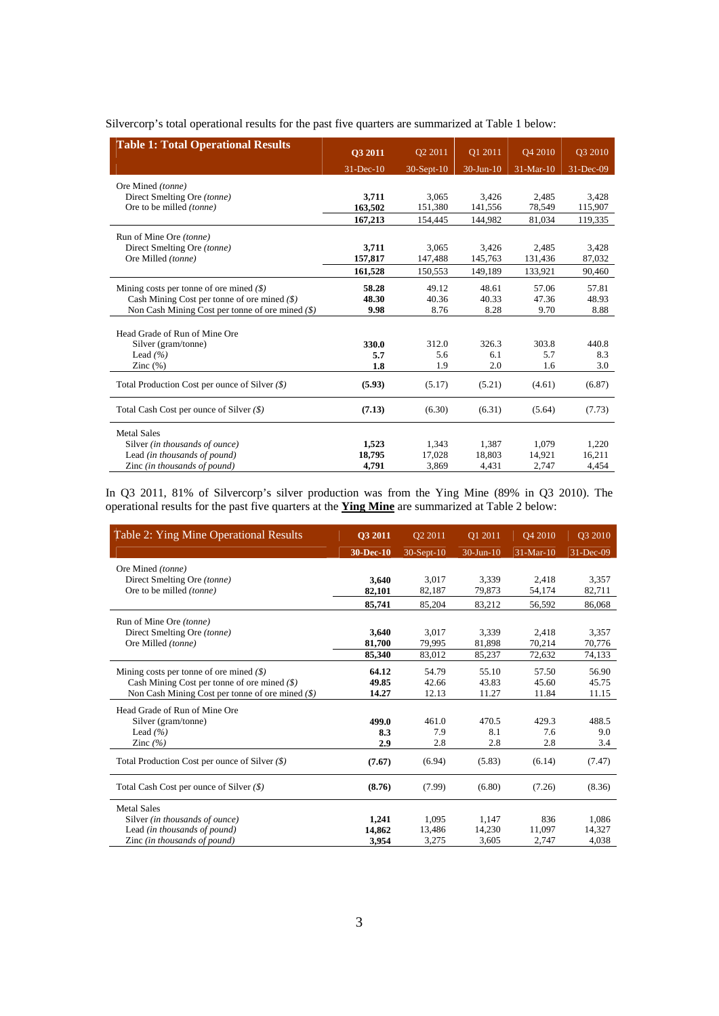| <b>Table 1: Total Operational Results</b>          | Q3 2011     | Q2 2011      | Q1 2011     | O <sub>4</sub> 2010 | Q3 2010   |
|----------------------------------------------------|-------------|--------------|-------------|---------------------|-----------|
|                                                    | $31-Dec-10$ | $30-Sept-10$ | $30-Jun-10$ | $31-Mar-10$         | 31-Dec-09 |
| Ore Mined (tonne)                                  |             |              |             |                     |           |
| Direct Smelting Ore (tonne)                        | 3,711       | 3,065        | 3,426       | 2,485               | 3,428     |
| Ore to be milled <i>(tonne)</i>                    | 163,502     | 151,380      | 141,556     | 78,549              | 115,907   |
|                                                    | 167,213     | 154,445      | 144,982     | 81,034              | 119,335   |
| Run of Mine Ore (tonne)                            |             |              |             |                     |           |
| Direct Smelting Ore (tonne)                        | 3,711       | 3.065        | 3,426       | 2,485               | 3,428     |
| Ore Milled (tonne)                                 | 157,817     | 147,488      | 145,763     | 131,436             | 87,032    |
|                                                    | 161,528     | 150,553      | 149,189     | 133,921             | 90,460    |
| Mining costs per tonne of ore mined $(\$)$         | 58.28       | 49.12        | 48.61       | 57.06               | 57.81     |
| Cash Mining Cost per tonne of ore mined $(\$)$     | 48.30       | 40.36        | 40.33       | 47.36               | 48.93     |
| Non Cash Mining Cost per tonne of ore mined $(\$)$ | 9.98        | 8.76         | 8.28        | 9.70                | 8.88      |
|                                                    |             |              |             |                     |           |
| Head Grade of Run of Mine Ore                      |             |              |             |                     |           |
| Silver (gram/tonne)                                | 330.0       | 312.0        | 326.3       | 303.8               | 440.8     |
| Lead $(\% )$                                       | 5.7         | 5.6          | 6.1         | 5.7                 | 8.3       |
| Zinc $(\%)$                                        | 1.8         | 1.9          | 2.0         | 1.6                 | 3.0       |
| Total Production Cost per ounce of Silver $(\$)$   | (5.93)      | (5.17)       | (5.21)      | (4.61)              | (6.87)    |
| Total Cash Cost per ounce of Silver $(\$)$         | (7.13)      | (6.30)       | (6.31)      | (5.64)              | (7.73)    |
| <b>Metal Sales</b>                                 |             |              |             |                     |           |
| Silver (in thousands of ounce)                     | 1,523       | 1,343        | 1,387       | 1.079               | 1,220     |
| Lead (in thousands of pound)                       | 18,795      | 17,028       | 18,803      | 14,921              | 16,211    |
| Zinc (in thousands of pound)                       | 4,791       | 3,869        | 4,431       | 2,747               | 4,454     |

Silvercorp's total operational results for the past five quarters are summarized at Table 1 below:

In Q3 2011, 81% of Silvercorp's silver production was from the Ying Mine (89% in Q3 2010). The operational results for the past five quarters at the **Ying Mine** are summarized at Table 2 below:

| Table 2: Ying Mine Operational Results             | Q3 2011   | O <sub>2</sub> 2011 | O1 2011         | O <sub>4</sub> 2010 | Q3 2010      |
|----------------------------------------------------|-----------|---------------------|-----------------|---------------------|--------------|
|                                                    | 30-Dec-10 | $30-Sept-10$        | $30$ -Jun- $10$ | 31-Mar-10           | $31$ -Dec-09 |
| Ore Mined (tonne)                                  |           |                     |                 |                     |              |
| Direct Smelting Ore (tonne)                        | 3,640     | 3,017               | 3,339           | 2,418               | 3,357        |
| Ore to be milled (tonne)                           | 82,101    | 82,187              | 79,873          | 54,174              | 82,711       |
|                                                    | 85,741    | 85,204              | 83,212          | 56,592              | 86.068       |
| Run of Mine Ore (tonne)                            |           |                     |                 |                     |              |
| Direct Smelting Ore (tonne)                        | 3,640     | 3,017               | 3,339           | 2.418               | 3,357        |
| Ore Milled (tonne)                                 | 81,700    | 79,995              | 81,898          | 70,214              | 70,776       |
|                                                    | 85,340    | 83,012              | 85,237          | 72,632              | 74,133       |
| Mining costs per tonne of ore mined $(\$)$         | 64.12     | 54.79               | 55.10           | 57.50               | 56.90        |
| Cash Mining Cost per tonne of ore mined $(\$)$     | 49.85     | 42.66               | 43.83           | 45.60               | 45.75        |
| Non Cash Mining Cost per tonne of ore mined $(\$)$ | 14.27     | 12.13               | 11.27           | 11.84               | 11.15        |
| Head Grade of Run of Mine Ore                      |           |                     |                 |                     |              |
| Silver (gram/tonne)                                | 499.0     | 461.0               | 470.5           | 429.3               | 488.5        |
| Lead $(%$                                          | 8.3       | 7.9                 | 8.1             | 7.6                 | 9.0          |
| Zinc $(\% )$                                       | 2.9       | 2.8                 | 2.8             | 2.8                 | 3.4          |
| Total Production Cost per ounce of Silver $(\$)$   | (7.67)    | (6.94)              | (5.83)          | (6.14)              | (7.47)       |
| Total Cash Cost per ounce of Silver $(\$)$         | (8.76)    | (7.99)              | (6.80)          | (7.26)              | (8.36)       |
| <b>Metal Sales</b>                                 |           |                     |                 |                     |              |
| Silver (in thousands of ounce)                     | 1,241     | 1,095               | 1,147           | 836                 | 1,086        |
| Lead (in thousands of pound)                       | 14,862    | 13,486              | 14,230          | 11,097              | 14,327       |
| Zinc (in thousands of pound)                       | 3,954     | 3,275               | 3,605           | 2,747               | 4,038        |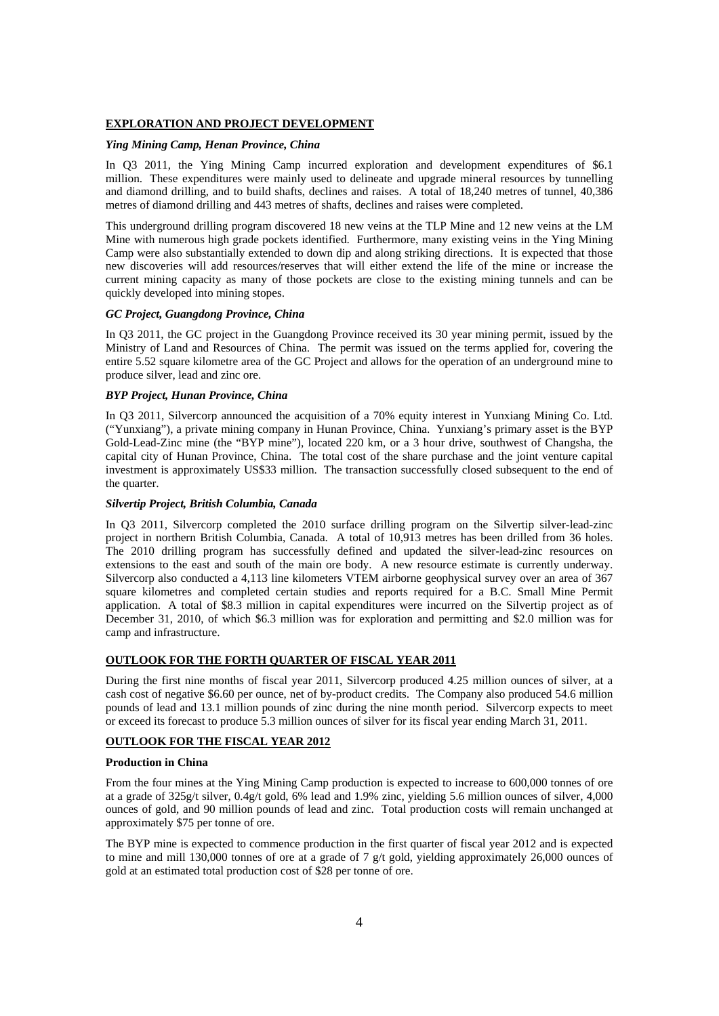#### **EXPLORATION AND PROJECT DEVELOPMENT**

#### *Ying Mining Camp, Henan Province, China*

In Q3 2011, the Ying Mining Camp incurred exploration and development expenditures of \$6.1 million. These expenditures were mainly used to delineate and upgrade mineral resources by tunnelling and diamond drilling, and to build shafts, declines and raises. A total of 18,240 metres of tunnel, 40,386 metres of diamond drilling and 443 metres of shafts, declines and raises were completed.

This underground drilling program discovered 18 new veins at the TLP Mine and 12 new veins at the LM Mine with numerous high grade pockets identified. Furthermore, many existing veins in the Ying Mining Camp were also substantially extended to down dip and along striking directions. It is expected that those new discoveries will add resources/reserves that will either extend the life of the mine or increase the current mining capacity as many of those pockets are close to the existing mining tunnels and can be quickly developed into mining stopes.

#### *GC Project, Guangdong Province, China*

In Q3 2011, the GC project in the Guangdong Province received its 30 year mining permit, issued by the Ministry of Land and Resources of China. The permit was issued on the terms applied for, covering the entire 5.52 square kilometre area of the GC Project and allows for the operation of an underground mine to produce silver, lead and zinc ore.

#### *BYP Project, Hunan Province, China*

In Q3 2011, Silvercorp announced the acquisition of a 70% equity interest in Yunxiang Mining Co. Ltd. ("Yunxiang"), a private mining company in Hunan Province, China. Yunxiang's primary asset is the BYP Gold-Lead-Zinc mine (the "BYP mine"), located 220 km, or a 3 hour drive, southwest of Changsha, the capital city of Hunan Province, China. The total cost of the share purchase and the joint venture capital investment is approximately US\$33 million. The transaction successfully closed subsequent to the end of the quarter.

#### *Silvertip Project, British Columbia, Canada*

In Q3 2011, Silvercorp completed the 2010 surface drilling program on the Silvertip silver-lead-zinc project in northern British Columbia, Canada. A total of 10,913 metres has been drilled from 36 holes. The 2010 drilling program has successfully defined and updated the silver-lead-zinc resources on extensions to the east and south of the main ore body. A new resource estimate is currently underway. Silvercorp also conducted a 4,113 line kilometers VTEM airborne geophysical survey over an area of 367 square kilometres and completed certain studies and reports required for a B.C. Small Mine Permit application. A total of \$8.3 million in capital expenditures were incurred on the Silvertip project as of December 31, 2010, of which \$6.3 million was for exploration and permitting and \$2.0 million was for camp and infrastructure.

#### **OUTLOOK FOR THE FORTH QUARTER OF FISCAL YEAR 2011**

During the first nine months of fiscal year 2011, Silvercorp produced 4.25 million ounces of silver, at a cash cost of negative \$6.60 per ounce, net of by-product credits. The Company also produced 54.6 million pounds of lead and 13.1 million pounds of zinc during the nine month period. Silvercorp expects to meet or exceed its forecast to produce 5.3 million ounces of silver for its fiscal year ending March 31, 2011.

#### **OUTLOOK FOR THE FISCAL YEAR 2012**

#### **Production in China**

From the four mines at the Ying Mining Camp production is expected to increase to 600,000 tonnes of ore at a grade of 325g/t silver, 0.4g/t gold, 6% lead and 1.9% zinc, yielding 5.6 million ounces of silver, 4,000 ounces of gold, and 90 million pounds of lead and zinc. Total production costs will remain unchanged at approximately \$75 per tonne of ore.

The BYP mine is expected to commence production in the first quarter of fiscal year 2012 and is expected to mine and mill 130,000 tonnes of ore at a grade of 7  $g/t$  gold, yielding approximately 26,000 ounces of gold at an estimated total production cost of \$28 per tonne of ore.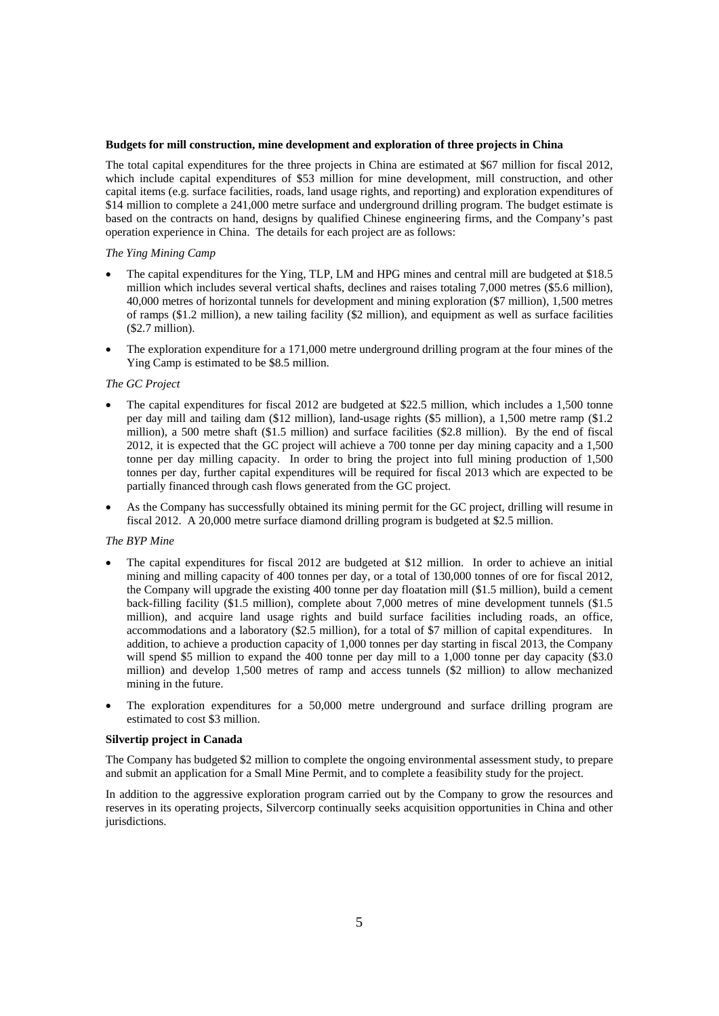#### **Budgets for mill construction, mine development and exploration of three projects in China**

The total capital expenditures for the three projects in China are estimated at \$67 million for fiscal 2012, which include capital expenditures of \$53 million for mine development, mill construction, and other capital items (e.g. surface facilities, roads, land usage rights, and reporting) and exploration expenditures of \$14 million to complete a 241,000 metre surface and underground drilling program. The budget estimate is based on the contracts on hand, designs by qualified Chinese engineering firms, and the Company's past operation experience in China. The details for each project are as follows:

#### *The Ying Mining Camp*

- The capital expenditures for the Ying, TLP, LM and HPG mines and central mill are budgeted at \$18.5 million which includes several vertical shafts, declines and raises totaling 7,000 metres (\$5.6 million), 40,000 metres of horizontal tunnels for development and mining exploration (\$7 million), 1,500 metres of ramps (\$1.2 million), a new tailing facility (\$2 million), and equipment as well as surface facilities (\$2.7 million).
- The exploration expenditure for a 171,000 metre underground drilling program at the four mines of the Ying Camp is estimated to be \$8.5 million.

#### *The GC Project*

- The capital expenditures for fiscal 2012 are budgeted at \$22.5 million, which includes a 1,500 tonne per day mill and tailing dam (\$12 million), land-usage rights (\$5 million), a 1,500 metre ramp (\$1.2 million), a 500 metre shaft (\$1.5 million) and surface facilities (\$2.8 million). By the end of fiscal 2012, it is expected that the GC project will achieve a 700 tonne per day mining capacity and a 1,500 tonne per day milling capacity. In order to bring the project into full mining production of 1,500 tonnes per day, further capital expenditures will be required for fiscal 2013 which are expected to be partially financed through cash flows generated from the GC project.
- As the Company has successfully obtained its mining permit for the GC project, drilling will resume in fiscal 2012. A 20,000 metre surface diamond drilling program is budgeted at \$2.5 million.

#### *The BYP Mine*

- The capital expenditures for fiscal 2012 are budgeted at \$12 million. In order to achieve an initial mining and milling capacity of 400 tonnes per day, or a total of 130,000 tonnes of ore for fiscal 2012, the Company will upgrade the existing 400 tonne per day floatation mill (\$1.5 million), build a cement back-filling facility (\$1.5 million), complete about 7,000 metres of mine development tunnels (\$1.5 million), and acquire land usage rights and build surface facilities including roads, an office, accommodations and a laboratory (\$2.5 million), for a total of \$7 million of capital expenditures. In addition, to achieve a production capacity of 1,000 tonnes per day starting in fiscal 2013, the Company will spend \$5 million to expand the 400 tonne per day mill to a 1,000 tonne per day capacity (\$3.0) million) and develop 1,500 metres of ramp and access tunnels (\$2 million) to allow mechanized mining in the future.
- The exploration expenditures for a 50,000 metre underground and surface drilling program are estimated to cost \$3 million.

#### **Silvertip project in Canada**

The Company has budgeted \$2 million to complete the ongoing environmental assessment study, to prepare and submit an application for a Small Mine Permit, and to complete a feasibility study for the project.

In addition to the aggressive exploration program carried out by the Company to grow the resources and reserves in its operating projects, Silvercorp continually seeks acquisition opportunities in China and other jurisdictions.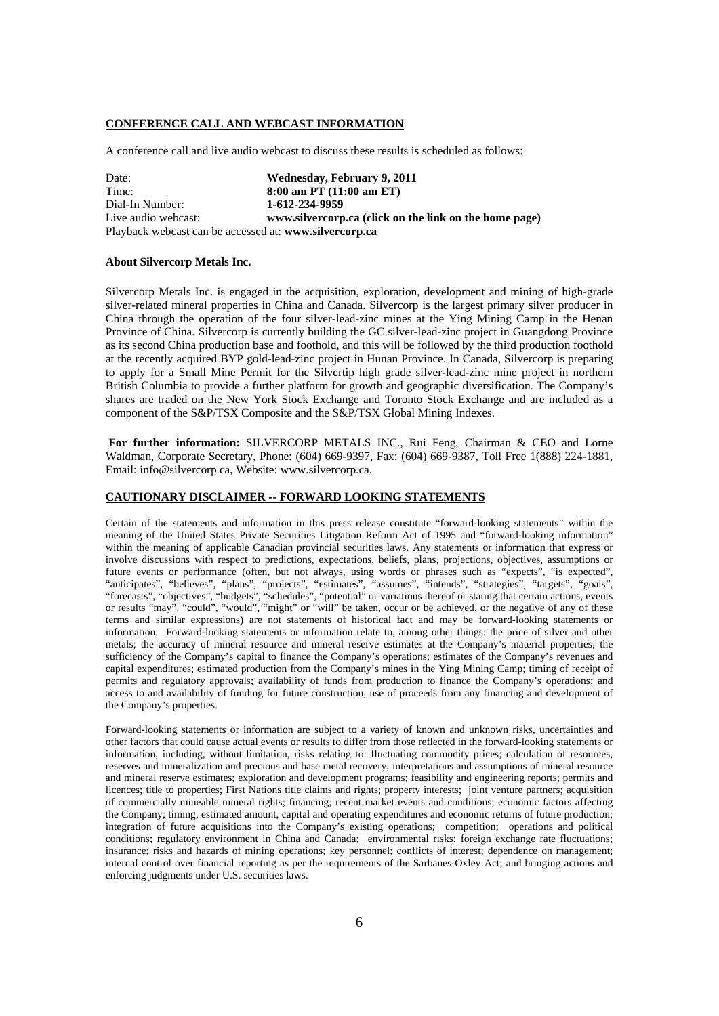#### **CONFERENCE CALL AND WEBCAST INFORMATION**

A conference call and live audio webcast to discuss these results is scheduled as follows:

| Date:               | Wednesday, February 9, 2011                            |
|---------------------|--------------------------------------------------------|
| Time:               | $8:00$ am PT $(11:00$ am ET)                           |
| Dial-In Number:     | 1-612-234-9959                                         |
| Live audio webcast: | www.silvercorp.ca (click on the link on the home page) |
|                     | Playback webcast can be accessed at: www.silvercorp.ca |

#### **About Silvercorp Metals Inc.**

Silvercorp Metals Inc. is engaged in the acquisition, exploration, development and mining of high-grade silver-related mineral properties in China and Canada. Silvercorp is the largest primary silver producer in China through the operation of the four silver-lead-zinc mines at the Ying Mining Camp in the Henan Province of China. Silvercorp is currently building the GC silver-lead-zinc project in Guangdong Province as its second China production base and foothold, and this will be followed by the third production foothold at the recently acquired BYP gold-lead-zinc project in Hunan Province. In Canada, Silvercorp is preparing to apply for a Small Mine Permit for the Silvertip high grade silver-lead-zinc mine project in northern British Columbia to provide a further platform for growth and geographic diversification. The Company's shares are traded on the New York Stock Exchange and Toronto Stock Exchange and are included as a component of the S&P/TSX Composite and the S&P/TSX Global Mining Indexes.

**For further information:** SILVERCORP METALS INC., Rui Feng, Chairman & CEO and Lorne Waldman, Corporate Secretary, Phone: (604) 669-9397, Fax: (604) 669-9387, Toll Free 1(888) 224-1881, Email: info@silvercorp.ca, Website: www.silvercorp.ca.

#### **CAUTIONARY DISCLAIMER -- FORWARD LOOKING STATEMENTS**

Certain of the statements and information in this press release constitute "forward-looking statements" within the meaning of the United States Private Securities Litigation Reform Act of 1995 and "forward-looking information" within the meaning of applicable Canadian provincial securities laws. Any statements or information that express or involve discussions with respect to predictions, expectations, beliefs, plans, projections, objectives, assumptions or future events or performance (often, but not always, using words or phrases such as "expects", "is expected", "anticipates", "believes", "plans", "projects", "estimates", "assumes", "intends", "strategies", "targets", "goals", "forecasts", "objectives", "budgets", "schedules", "potential" or variations thereof or stating that certain actions, events or results "may", "could", "would", "might" or "will" be taken, occur or be achieved, or the negative of any of these terms and similar expressions) are not statements of historical fact and may be forward-looking statements or information. Forward-looking statements or information relate to, among other things: the price of silver and other metals; the accuracy of mineral resource and mineral reserve estimates at the Company's material properties; the sufficiency of the Company's capital to finance the Company's operations; estimates of the Company's revenues and capital expenditures; estimated production from the Company's mines in the Ying Mining Camp; timing of receipt of permits and regulatory approvals; availability of funds from production to finance the Company's operations; and access to and availability of funding for future construction, use of proceeds from any financing and development of the Company's properties.

Forward-looking statements or information are subject to a variety of known and unknown risks, uncertainties and other factors that could cause actual events or results to differ from those reflected in the forward-looking statements or information, including, without limitation, risks relating to: fluctuating commodity prices; calculation of resources, reserves and mineralization and precious and base metal recovery; interpretations and assumptions of mineral resource and mineral reserve estimates; exploration and development programs; feasibility and engineering reports; permits and licences; title to properties; First Nations title claims and rights; property interests; joint venture partners; acquisition of commercially mineable mineral rights; financing; recent market events and conditions; economic factors affecting the Company; timing, estimated amount, capital and operating expenditures and economic returns of future production; integration of future acquisitions into the Company's existing operations; competition; operations and political conditions; regulatory environment in China and Canada; environmental risks; foreign exchange rate fluctuations; insurance; risks and hazards of mining operations; key personnel; conflicts of interest; dependence on management; internal control over financial reporting as per the requirements of the Sarbanes-Oxley Act; and bringing actions and enforcing judgments under U.S. securities laws.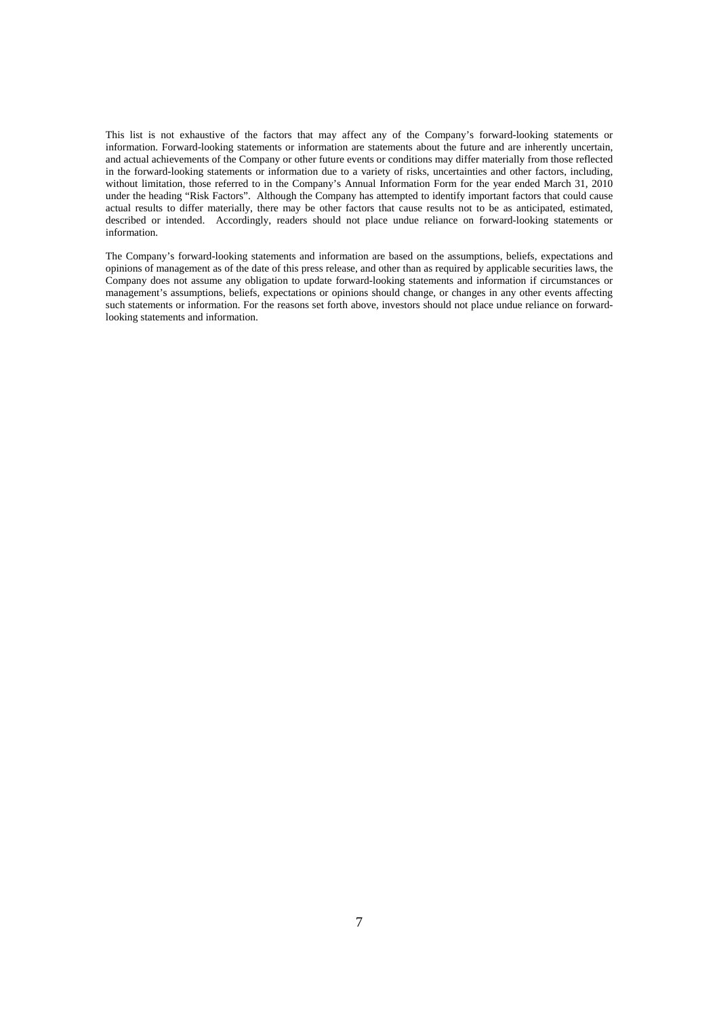This list is not exhaustive of the factors that may affect any of the Company's forward-looking statements or information. Forward-looking statements or information are statements about the future and are inherently uncertain, and actual achievements of the Company or other future events or conditions may differ materially from those reflected in the forward-looking statements or information due to a variety of risks, uncertainties and other factors, including, without limitation, those referred to in the Company's Annual Information Form for the year ended March 31, 2010 under the heading "Risk Factors". Although the Company has attempted to identify important factors that could cause actual results to differ materially, there may be other factors that cause results not to be as anticipated, estimated, described or intended. Accordingly, readers should not place undue reliance on forward-looking statements or information.

The Company's forward-looking statements and information are based on the assumptions, beliefs, expectations and opinions of management as of the date of this press release, and other than as required by applicable securities laws, the Company does not assume any obligation to update forward-looking statements and information if circumstances or management's assumptions, beliefs, expectations or opinions should change, or changes in any other events affecting such statements or information. For the reasons set forth above, investors should not place undue reliance on forwardlooking statements and information.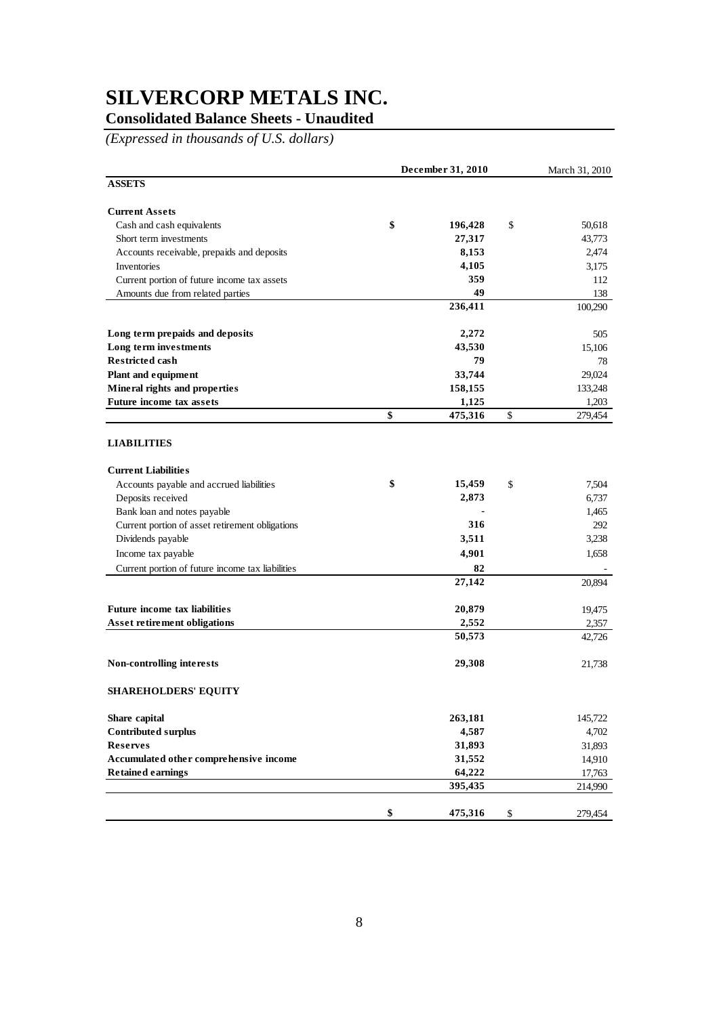## **Consolidated Balance Sheets - Unaudited**

*(Expressed in thousands of U.S. dollars)*

| <b>ASSETS</b><br><b>Current Assets</b>           | \$<br>196,428 |               |
|--------------------------------------------------|---------------|---------------|
|                                                  |               |               |
|                                                  |               |               |
| Cash and cash equivalents                        |               | \$<br>50,618  |
| Short term investments                           | 27,317        | 43,773        |
| Accounts receivable, prepaids and deposits       | 8,153         | 2,474         |
| Inventories                                      | 4,105         | 3,175         |
| Current portion of future income tax assets      | 359           | 112           |
| Amounts due from related parties                 | 49            | 138           |
|                                                  | 236,411       | 100,290       |
| Long term prepaids and deposits                  | 2,272         | 505           |
| Long term investments                            | 43,530        | 15,106        |
| <b>Restricted cash</b>                           | 79            | 78            |
| Plant and equipment                              | 33,744        | 29,024        |
| Mineral rights and properties                    | 158,155       | 133,248       |
| Future income tax assets                         | 1,125         | 1,203         |
|                                                  | \$<br>475,316 | \$<br>279,454 |
| <b>LIABILITIES</b>                               |               |               |
| <b>Current Liabilities</b>                       |               |               |
| Accounts payable and accrued liabilities         | \$<br>15,459  | \$<br>7,504   |
| Deposits received                                | 2,873         | 6,737         |
| Bank loan and notes payable                      |               | 1,465         |
| Current portion of asset retirement obligations  | 316           | 292           |
| Dividends payable                                | 3,511         | 3,238         |
| Income tax payable                               | 4,901         | 1,658         |
| Current portion of future income tax liabilities | 82            |               |
|                                                  | 27,142        | 20,894        |
| <b>Future income tax liabilities</b>             | 20,879        | 19,475        |
| <b>Asset retirement obligations</b>              | 2,552         | 2,357         |
|                                                  | 50,573        | 42,726        |
| Non-controlling interests                        | 29,308        | 21,738        |
| <b>SHAREHOLDERS' EQUITY</b>                      |               |               |
| Share capital                                    | 263,181       | 145,722       |
| <b>Contributed surplus</b>                       | 4,587         | 4,702         |
| <b>Reserves</b>                                  | 31,893        | 31,893        |
| Accumulated other comprehensive income           | 31,552        | 14,910        |
| <b>Retained earnings</b>                         | 64,222        | 17,763        |
|                                                  | 395,435       | 214,990       |
|                                                  | \$<br>475,316 | \$<br>279,454 |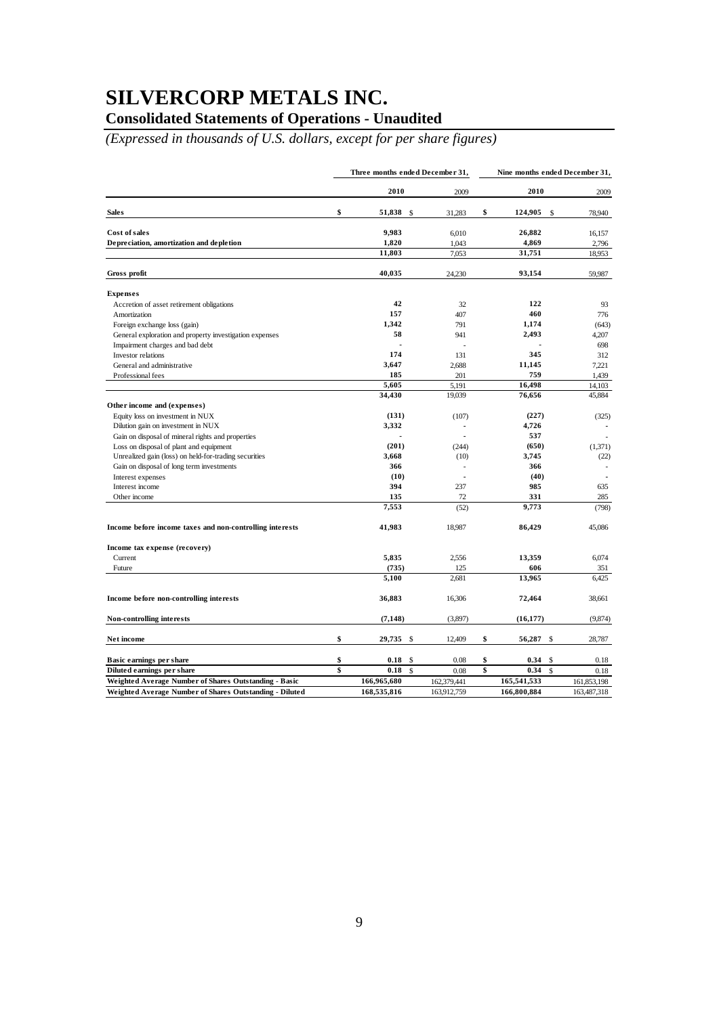### **SILVERCORP METALS INC. Consolidated Statements of Operations - Unaudited**

*(Expressed in thousands of U.S. dollars, except for per share figures)*

|                                                          | Three months ended December 31, |              | Nine months ended December 31, |              |  |
|----------------------------------------------------------|---------------------------------|--------------|--------------------------------|--------------|--|
|                                                          | 2010                            | 2009         | 2010                           | 2009         |  |
| <b>Sales</b>                                             | \$<br>51,838<br><sup>\$</sup>   | 31,283       | \$<br>124,905<br>\$            | 78,940       |  |
| Cost of sales                                            | 9,983                           | 6,010        | 26,882                         | 16,157       |  |
| Depreciation, amortization and depletion                 | 1,820                           | 1,043        | 4,869                          | 2,796        |  |
|                                                          | 11,803                          | 7,053        | 31,751                         | 18,953       |  |
| Gross profit                                             | 40,035                          | 24,230       | 93,154                         | 59,987       |  |
| <b>Expenses</b>                                          |                                 |              |                                |              |  |
| Accretion of asset retirement obligations                | 42                              | 32           | 122                            | 93           |  |
| Amortization                                             | 157                             | 407          | 460                            | 776          |  |
| Foreign exchange loss (gain)                             | 1,342                           | 791          | 1,174                          | (643)        |  |
| General exploration and property investigation expenses  | 58                              | 941          | 2,493                          | 4,207        |  |
| Impairment charges and bad debt                          |                                 |              |                                | 698          |  |
| Investor relations                                       | 174                             | 131          | 345                            | 312          |  |
| General and administrative                               | 3,647                           | 2,688        | 11,145                         | 7,221        |  |
| Professional fees                                        | 185                             | 201          | 759                            | 1,439        |  |
|                                                          | 5,605                           | 5,191        | 16,498                         | 14,103       |  |
|                                                          | 34,430                          | 19.039       | 76,656                         | 45,884       |  |
| Other income and (expenses)                              |                                 |              |                                |              |  |
| Equity loss on investment in NUX                         | (131)                           | (107)        | (227)                          | (325)        |  |
| Dilution gain on investment in NUX                       | 3,332                           |              | 4,726                          |              |  |
| Gain on disposal of mineral rights and properties        | ä,                              |              | 537                            |              |  |
| Loss on disposal of plant and equipment                  | (201)                           | (244)        | (650)                          | (1,371)      |  |
| Unrealized gain (loss) on held-for-trading securities    | 3,668                           | (10)         | 3,745                          | (22)         |  |
| Gain on disposal of long term investments                | 366<br>(10)                     | ä,           | 366<br>(40)                    |              |  |
| Interest expenses                                        | 394                             |              | 985                            |              |  |
| Interest income                                          |                                 | 237          | 331                            | 635          |  |
| Other income                                             | 135<br>7,553                    | 72<br>(52)   | 9.773                          | 285<br>(798) |  |
|                                                          |                                 |              |                                |              |  |
| Income before income taxes and non-controlling interests | 41,983                          | 18,987       | 86,429                         | 45,086       |  |
| Income tax expense (recovery)                            |                                 |              |                                |              |  |
| Current                                                  | 5,835                           | 2,556        | 13,359                         | 6,074        |  |
| Future                                                   | (735)<br>5,100                  | 125<br>2,681 | 606<br>13,965                  | 351<br>6,425 |  |
|                                                          |                                 |              |                                |              |  |
| Income before non-controlling interests                  | 36,883                          | 16,306       | 72,464                         | 38,661       |  |
| <b>Non-controlling interests</b>                         | (7, 148)                        | (3,897)      | (16, 177)                      | (9,874)      |  |
| Net income                                               | \$<br>29,735<br>$\mathbf{s}$    | 12,409       | \$<br>56,287<br>$\mathbf{s}$   | 28,787       |  |
| Basic earnings per share                                 | \$<br>0.18<br>\$                | 0.08         | \$<br>0.34<br>\$               | 0.18         |  |
| Diluted earnings per share                               | \$<br>0.18<br>$\mathbf S$       | 0.08         | \$<br>0.34<br>$\mathbf S$      | 0.18         |  |
| Weighted Average Number of Shares Outstanding - Basic    | 166,965,680                     | 162,379,441  | 165,541,533                    | 161,853,198  |  |
| Weighted Average Number of Shares Outstanding - Diluted  | 168,535,816                     | 163,912,759  | 166,800,884                    | 163,487,318  |  |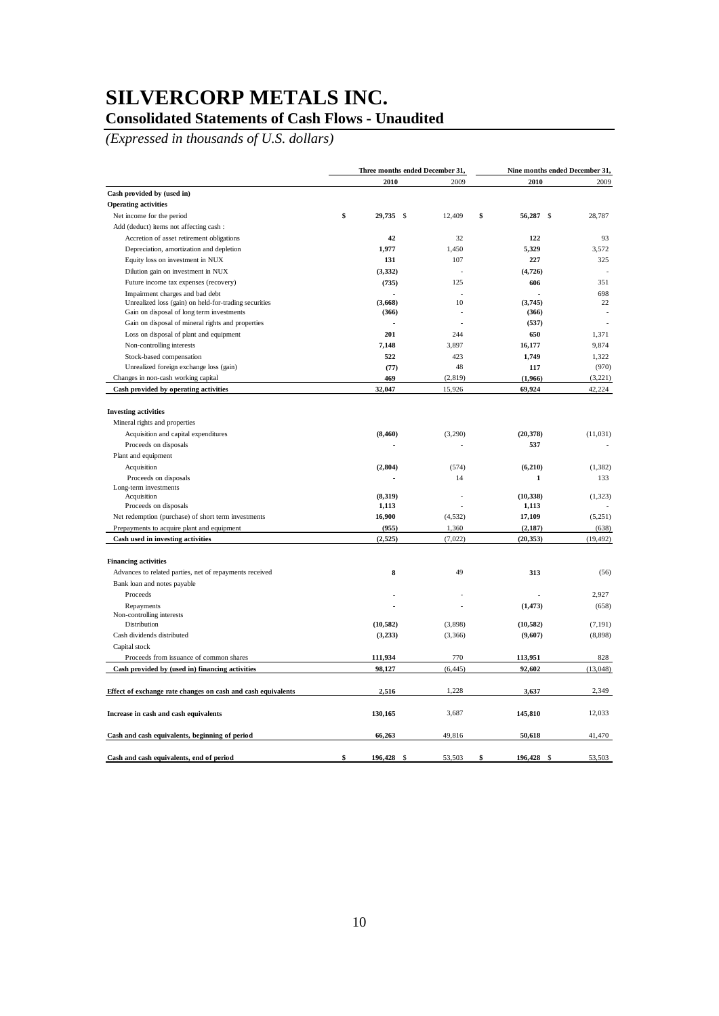### **SILVERCORP METALS INC. Consolidated Statements of Cash Flows - Unaudited**

*(Expressed in thousands of U.S. dollars)*

|                                                              | Three months ended December 31, |                          | Nine months ended December 31, |                                |           |
|--------------------------------------------------------------|---------------------------------|--------------------------|--------------------------------|--------------------------------|-----------|
|                                                              |                                 | 2010                     | 2009                           | 2010                           | 2009      |
| Cash provided by (used in)                                   |                                 |                          |                                |                                |           |
| <b>Operating activities</b>                                  |                                 |                          |                                |                                |           |
| Net income for the period                                    | \$                              | 29,735 \$                | 12,409                         | \$<br>\$<br>56,287             | 28,787    |
| Add (deduct) items not affecting cash:                       |                                 |                          |                                |                                |           |
| Accretion of asset retirement obligations                    |                                 | 42                       | 32                             | 122                            | 93        |
| Depreciation, amortization and depletion                     |                                 | 1.977                    | 1.450                          | 5,329                          | 3,572     |
| Equity loss on investment in NUX                             |                                 | 131                      | 107                            | 227                            | 325       |
| Dilution gain on investment in NUX                           |                                 | (3, 332)                 |                                | (4, 726)                       |           |
| Future income tax expenses (recovery)                        |                                 | (735)                    | 125                            | 606                            | 351       |
| Impairment charges and bad debt                              |                                 |                          |                                |                                | 698       |
| Unrealized loss (gain) on held-for-trading securities        |                                 | (3,668)                  | 10                             | (3,745)                        | 22        |
| Gain on disposal of long term investments                    |                                 | (366)                    |                                | (366)                          |           |
| Gain on disposal of mineral rights and properties            |                                 |                          |                                | (537)                          |           |
| Loss on disposal of plant and equipment                      |                                 | 201                      | 244                            | 650                            | 1,371     |
| Non-controlling interests                                    |                                 | 7,148                    | 3,897                          | 16,177                         | 9,874     |
| Stock-based compensation                                     |                                 | 522                      | 423                            | 1,749                          | 1,322     |
| Unrealized foreign exchange loss (gain)                      |                                 | (77)                     | 48                             | 117                            | (970)     |
| Changes in non-cash working capital                          |                                 | 469                      | (2, 819)                       | (1,966)                        | (3,221)   |
| Cash provided by operating activities                        |                                 | 32,047                   | 15,926                         | 69,924                         | 42,224    |
|                                                              |                                 |                          |                                |                                |           |
| <b>Investing activities</b>                                  |                                 |                          |                                |                                |           |
| Mineral rights and properties                                |                                 |                          |                                |                                |           |
| Acquisition and capital expenditures                         |                                 | (8, 460)                 | (3,290)                        | (20, 378)                      | (11, 031) |
| Proceeds on disposals                                        |                                 |                          |                                | 537                            |           |
| Plant and equipment                                          |                                 |                          |                                |                                |           |
| Acquisition                                                  |                                 | (2, 804)                 | (574)                          | (6, 210)                       | (1, 382)  |
| Proceeds on disposals                                        |                                 |                          | 14                             | 1                              | 133       |
| Long-term investments                                        |                                 |                          |                                |                                |           |
| Acquisition                                                  |                                 | (8.319)                  |                                | (10.338)                       | (1, 323)  |
| Proceeds on disposals                                        |                                 | 1,113                    |                                | 1,113                          |           |
| Net redemption (purchase) of short term investments          |                                 | 16,900                   | (4, 532)                       | 17,109                         | (5,251)   |
| Prepayments to acquire plant and equipment                   |                                 | (955)                    | 1,360                          | (2, 187)                       | (638)     |
| Cash used in investing activities                            |                                 | (2,525)                  | (7,022)                        | (20, 353)                      | (19, 492) |
|                                                              |                                 |                          |                                |                                |           |
| <b>Financing activities</b>                                  |                                 |                          |                                |                                |           |
| Advances to related parties, net of repayments received      |                                 | 8                        | 49                             | 313                            | (56)      |
| Bank loan and notes payable                                  |                                 |                          |                                |                                |           |
| Proceeds                                                     |                                 |                          |                                |                                | 2,927     |
| Repayments                                                   |                                 |                          |                                | (1, 473)                       | (658)     |
| Non-controlling interests                                    |                                 |                          |                                |                                |           |
| Distribution                                                 |                                 | (10, 582)                | (3,898)                        | (10, 582)                      | (7, 191)  |
| Cash dividends distributed                                   |                                 | (3,233)                  | (3,366)                        | (9,607)                        | (8,898)   |
| Capital stock                                                |                                 |                          |                                |                                |           |
| Proceeds from issuance of common shares                      |                                 | 111,934                  | 770                            | 113,951                        | 828       |
| Cash provided by (used in) financing activities              |                                 | 98,127                   | (6, 445)                       | 92,602                         | (13, 048) |
|                                                              |                                 |                          |                                |                                |           |
| Effect of exchange rate changes on cash and cash equivalents |                                 | 2,516                    | 1,228                          | 3,637                          | 2.349     |
|                                                              |                                 |                          |                                |                                |           |
| Increase in cash and cash equivalents                        |                                 | 130,165                  | 3,687                          | 145,810                        | 12,033    |
|                                                              |                                 |                          |                                |                                |           |
| Cash and cash equivalents, beginning of period               |                                 | 66,263                   | 49,816                         | 50,618                         | 41,470    |
|                                                              |                                 |                          |                                |                                |           |
| Cash and cash equivalents, end of period                     | \$                              | 196,428<br><sup>\$</sup> | 53,503                         | \$<br>196,428<br><sup>\$</sup> | 53,503    |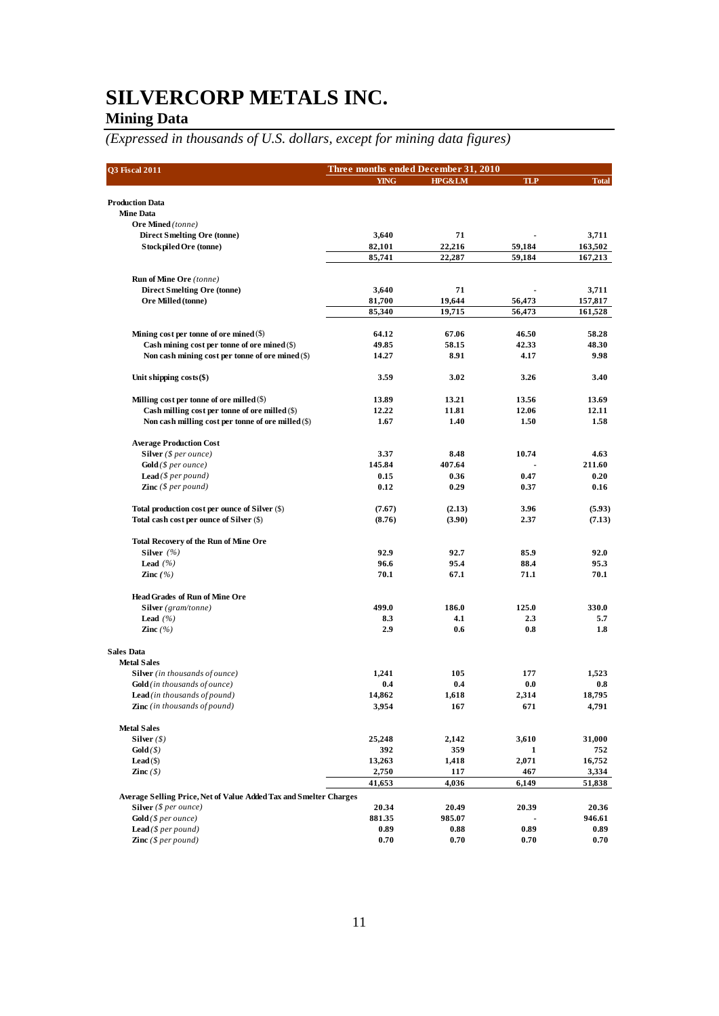### **Mining Data**

| Q3 Fiscal 2011                                                    | Three months ended December 31, 2010 |                   |            |              |  |
|-------------------------------------------------------------------|--------------------------------------|-------------------|------------|--------------|--|
|                                                                   | <b>YING</b>                          | <b>HPG&amp;LM</b> | <b>TLP</b> | <b>Total</b> |  |
|                                                                   |                                      |                   |            |              |  |
| <b>Production Data</b><br><b>Mine Data</b>                        |                                      |                   |            |              |  |
| Ore Mined (tonne)                                                 |                                      |                   |            |              |  |
| <b>Direct Smelting Ore (tonne)</b>                                | 3,640                                | 71                |            | 3,711        |  |
| <b>Stockpiled Ore (tonne)</b>                                     | 82,101                               | 22,216            | 59,184     | 163,502      |  |
|                                                                   | 85,741                               | 22,287            | 59,184     | 167,213      |  |
| Run of Mine Ore (tonne)                                           |                                      |                   |            |              |  |
| <b>Direct Smelting Ore (tonne)</b>                                | 3,640                                | 71                |            | 3,711        |  |
| Ore Milled (tonne)                                                | 81,700                               | 19,644            | 56,473     | 157,817      |  |
|                                                                   | 85,340                               | 19,715            | 56,473     | 161,528      |  |
| Mining cost per tonne of ore mined $(\$)$                         | 64.12                                | 67.06             | 46.50      | 58.28        |  |
| Cash mining cost per tonne of ore mined (\$)                      | 49.85                                | 58.15             | 42.33      | 48.30        |  |
| Non cash mining cost per tonne of ore mined (\$)                  | 14.27                                | 8.91              | 4.17       | 9.98         |  |
|                                                                   |                                      |                   |            |              |  |
| Unit shipping $\cos(s)$                                           | 3.59                                 | 3.02              | 3.26       | 3.40         |  |
| Milling cost per tonne of ore milled $(\$)$                       | 13.89                                | 13.21             | 13.56      | 13.69        |  |
| Cash milling cost per tonne of ore milled (\$)                    | 12.22                                | 11.81             | 12.06      | 12.11        |  |
| Non cash milling cost per tonne of ore milled (\$)                | 1.67                                 | 1.40              | 1.50       | 1.58         |  |
| <b>Average Production Cost</b>                                    |                                      |                   |            |              |  |
| <b>Silver</b> ( $$ per ounce$ )                                   | 3.37                                 | 8.48              | 10.74      | 4.63         |  |
| $Gold$ ( $$$ per ounce)                                           | 145.84                               | 407.64            |            | 211.60       |  |
| <b>Lead</b> ( $$per pound$ )                                      | 0.15                                 | 0.36              | 0.47       | 0.20         |  |
| <b>Zinc</b> $(\$ per pound)$                                      | 0.12                                 | 0.29              | 0.37       | 0.16         |  |
| Total production cost per ounce of Silver (\$)                    | (7.67)                               | (2.13)            | 3.96       | (5.93)       |  |
| Total cash cost per ounce of Silver (\$)                          | (8.76)                               | (3.90)            | 2.37       | (7.13)       |  |
| <b>Total Recovery of the Run of Mine Ore</b>                      |                                      |                   |            |              |  |
| Silver $(%)$                                                      | 92.9                                 | 92.7              | 85.9       | 92.0         |  |
| Lead $(%$                                                         | 96.6                                 | 95.4              | 88.4       | 95.3         |  |
| Zinc $(\% )$                                                      | 70.1                                 | 67.1              | 71.1       | 70.1         |  |
| <b>Head Grades of Run of Mine Ore</b>                             |                                      |                   |            |              |  |
| <b>Silver</b> (gram/tonne)                                        | 499.0                                | 186.0             | 125.0      | 330.0        |  |
| <b>Lead</b> $(%$                                                  | 8.3                                  | 4.1               | 2.3        | 5.7          |  |
| Zinc $(%$                                                         | 2.9                                  | 0.6               | 0.8        | 1.8          |  |
| Sales Data                                                        |                                      |                   |            |              |  |
| <b>Metal Sales</b>                                                |                                      |                   |            |              |  |
| Silver (in thousands of ounce)                                    | 1,241                                | 105               | 177        | 1,523        |  |
| <b>Gold</b> (in thousands of ounce)                               | 0.4                                  | 0.4               | 0.0        | 0.8          |  |
| <b>Lead</b> (in thousands of pound)                               | 14,862                               | 1,618             | 2,314      | 18,795       |  |
| <b>Zinc</b> (in thousands of pound)                               | 3,954                                | 167               | 671        | 4,791        |  |
| <b>Metal Sales</b>                                                |                                      |                   |            |              |  |
| Silver $(\$)$                                                     | 25,248                               | 2,142             | 3,610      | 31,000       |  |
| $\text{Gold}\,(\text{\$})$                                        | 392                                  | 359               | 1          | 752          |  |
| Lead $(\$)$                                                       | 13,263                               | 1,418             | 2,071      | 16,752       |  |
| Zinc $(\$)$                                                       | 2,750                                | 117               | 467        | 3,334        |  |
|                                                                   | 41,653                               | 4,036             | 6,149      | 51,838       |  |
| Average Selling Price, Net of Value Added Tax and Smelter Charges |                                      |                   |            |              |  |
| Silver $(5 per ounce)$                                            | 20.34                                | 20.49             | 20.39      | 20.36        |  |
| $Gold$ (\$ per ounce)                                             | 881.35                               | 985.07            |            | 946.61       |  |
| <b>Lead</b> ( $$per pound$ )                                      | 0.89                                 | 0.88              | 0.89       | 0.89         |  |
| Zinc (\$ per pound)                                               | 0.70                                 | 0.70              | 0.70       | 0.70         |  |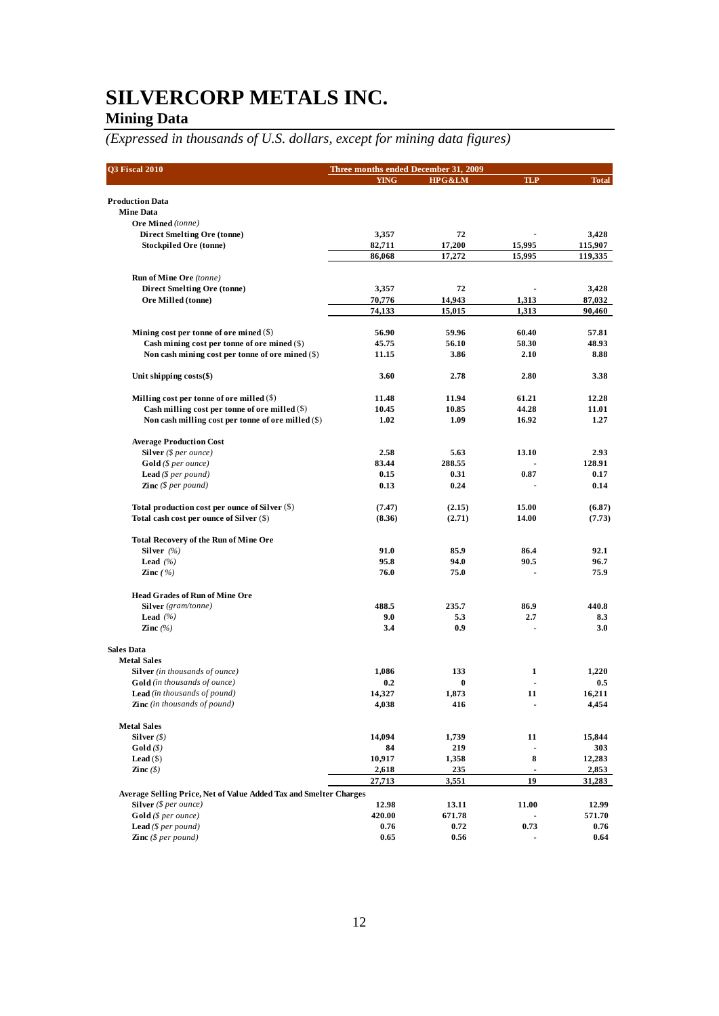### **Mining Data**

| <b>O3 Fiscal 2010</b>                                             | Three months ended December 31, 2009 |        |                          |              |
|-------------------------------------------------------------------|--------------------------------------|--------|--------------------------|--------------|
|                                                                   | <b>YING</b>                          | HPG&LM | <b>TLP</b>               | <b>Total</b> |
| <b>Production Data</b>                                            |                                      |        |                          |              |
| <b>Mine Data</b>                                                  |                                      |        |                          |              |
| Ore Mined (tonne)                                                 |                                      |        |                          |              |
| <b>Direct Smelting Ore (tonne)</b>                                | 3,357                                | 72     |                          | 3,428        |
| <b>Stockpiled Ore (tonne)</b>                                     | 82,711                               | 17,200 | 15,995                   | 115,907      |
|                                                                   | 86,068                               | 17,272 | 15,995                   | 119,335      |
| <b>Run of Mine Ore</b> (tonne)                                    |                                      |        |                          |              |
| <b>Direct Smelting Ore (tonne)</b>                                | 3,357                                | 72     |                          | 3,428        |
| Ore Milled (tonne)                                                | 70,776                               | 14,943 | 1,313                    | 87,032       |
|                                                                   | 74.133                               | 15,015 | 1,313                    | 90,460       |
| Mining cost per tonne of ore mined $(\$)$                         | 56.90                                | 59.96  | 60.40                    | 57.81        |
| Cash mining cost per tonne of ore mined $(\$)$                    | 45.75                                | 56.10  | 58.30                    | 48.93        |
| Non cash mining cost per tonne of ore mined (\$)                  | 11.15                                | 3.86   | 2.10                     | 8.88         |
|                                                                   |                                      |        |                          |              |
| Unit shipping $costs(\text{$\$})$                                 | 3.60                                 | 2.78   | 2.80                     | 3.38         |
| Milling cost per tonne of ore milled $(\$)$                       | 11.48                                | 11.94  | 61.21                    | 12.28        |
| Cash milling cost per tonne of ore milled (\$)                    | 10.45                                | 10.85  | 44.28                    | 11.01        |
| Non cash milling cost per tonne of ore milled (\$)                | 1.02                                 | 1.09   | 16.92                    | 1.27         |
| <b>Average Production Cost</b>                                    |                                      |        |                          |              |
| <b>Silver</b> (\$ per ounce)                                      | 2.58                                 | 5.63   | 13.10                    | 2.93         |
| <b>Gold</b> (\$ per ounce)                                        | 83.44                                | 288.55 |                          | 128.91       |
| <b>Lead</b> ( $$per pound$ )                                      | 0.15                                 | 0.31   | 0.87                     | 0.17         |
| <b>Zinc</b> (\$ per pound)                                        | 0.13                                 | 0.24   |                          | 0.14         |
| Total production cost per ounce of Silver (\$)                    | (7.47)                               | (2.15) | 15.00                    | (6.87)       |
| Total cash cost per ounce of Silver (\$)                          | (8.36)                               | (2.71) | 14.00                    | (7.73)       |
| <b>Total Recovery of the Run of Mine Ore</b>                      |                                      |        |                          |              |
| Silver $(%$                                                       | 91.0                                 | 85.9   | 86.4                     | 92.1         |
| <b>Lead</b> $(\%)$                                                | 95.8                                 | 94.0   | 90.5                     | 96.7         |
| Zinc $(\% )$                                                      | 76.0                                 | 75.0   |                          | 75.9         |
| <b>Head Grades of Run of Mine Ore</b>                             |                                      |        |                          |              |
| Silver (gram/tonne)                                               | 488.5                                | 235.7  | 86.9                     | 440.8        |
| <b>Lead</b> $(\% )$                                               | 9.0                                  | 5.3    | 2.7                      | 8.3          |
| Zinc $(\% )$                                                      | 3.4                                  | 0.9    |                          | 3.0          |
| <b>Sales Data</b>                                                 |                                      |        |                          |              |
| <b>Metal Sales</b>                                                |                                      |        |                          |              |
| <b>Silver</b> (in thousands of ounce)                             | 1,086                                | 133    | 1                        | 1,220        |
| <b>Gold</b> (in thousands of ounce)                               | 0.2                                  | 0      |                          | 0.5          |
| <b>Lead</b> (in thousands of pound)                               | 14,327                               | 1,873  | 11                       | 16,211       |
| <b>Zinc</b> (in thousands of pound)                               | 4,038                                | 416    | $\overline{\phantom{0}}$ | 4,454        |
| <b>Metal Sales</b>                                                |                                      |        |                          |              |
| Silver $(\$)$                                                     | 14,094                               | 1,739  | 11                       | 15,844       |
| $\text{Gold}\,(\text{\$})$                                        | 84                                   | 219    | $\overline{\phantom{a}}$ | 303          |
| Lead $(\$)$                                                       | 10,917                               | 1,358  | 8                        | 12,283       |
| Zinc $(\$)$                                                       | 2,618                                | 235    | $\overline{\phantom{a}}$ | 2,853        |
|                                                                   | 27,713                               | 3,551  | 19                       | 31,283       |
| Average Selling Price, Net of Value Added Tax and Smelter Charges |                                      |        |                          |              |
| <b>Silver</b> ( $$ per ounce$ )                                   | 12.98                                | 13.11  | 11.00                    | 12.99        |
| $Gold$ (\$ per ounce)                                             | 420.00                               | 671.78 |                          | 571.70       |
| <b>Lead</b> $(S$ per pound)                                       | 0.76                                 | 0.72   | 0.73                     | 0.76         |
| <b>Zinc</b> $(S \text{ per pound})$                               | 0.65                                 | 0.56   |                          | 0.64         |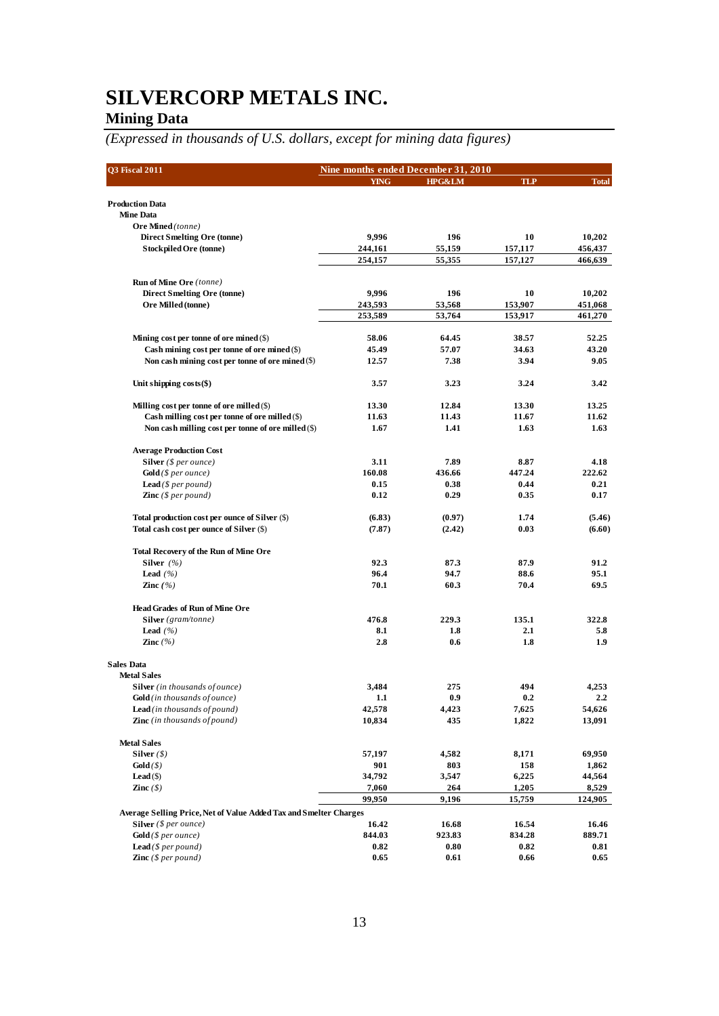### **Mining Data**

| <b>Q3 Fiscal 2011</b>                                                      | Nine months ended December 31, 2010 |              |                 |                  |  |
|----------------------------------------------------------------------------|-------------------------------------|--------------|-----------------|------------------|--|
|                                                                            | <b>YING</b>                         | HPG&LM       | <b>TLP</b>      | <b>Total</b>     |  |
|                                                                            |                                     |              |                 |                  |  |
| <b>Production Data</b><br><b>Mine Data</b>                                 |                                     |              |                 |                  |  |
| <b>Ore Mined</b> (tonne)                                                   |                                     |              |                 |                  |  |
| <b>Direct Smelting Ore (tonne)</b>                                         | 9,996                               | 196          | 10              | 10,202           |  |
| <b>Stockpiled Ore (tonne)</b>                                              | 244,161                             | 55,159       | 157,117         | 456,437          |  |
|                                                                            | 254,157                             | 55,355       | 157,127         | 466,639          |  |
|                                                                            |                                     |              |                 |                  |  |
| Run of Mine Ore (tonne)                                                    |                                     |              |                 |                  |  |
| <b>Direct Smelting Ore (tonne)</b>                                         | 9,996                               | 196          | 10              | 10,202           |  |
| Ore Milled (tonne)                                                         | 243,593                             | 53,568       | 153,907         | 451,068          |  |
|                                                                            | 253,589                             | 53,764       | 153,917         | 461,270          |  |
| Mining cost per tonne of ore mined $(\$)$                                  | 58.06                               | 64.45        | 38.57           | 52.25            |  |
| Cash mining cost per tonne of ore mined (\$)                               | 45.49                               | 57.07        | 34.63           | 43.20            |  |
| Non cash mining cost per tonne of ore mined (\$)                           | 12.57                               | 7.38         | 3.94            | 9.05             |  |
|                                                                            |                                     |              |                 |                  |  |
| Unit shipping $costs(\$)$                                                  | 3.57                                | 3.23         | 3.24            | 3.42             |  |
| Milling cost per tonne of ore milled (\$)                                  | 13.30                               | 12.84        | 13.30           | 13.25            |  |
| Cash milling cost per tonne of ore milled (\$)                             | 11.63                               | 11.43        | 11.67           | 11.62            |  |
| Non cash milling cost per tonne of ore milled (\$)                         | 1.67                                | 1.41         | 1.63            | 1.63             |  |
| <b>Average Production Cost</b>                                             |                                     |              |                 |                  |  |
| <b>Silver</b> ( $$ per ounce$ )                                            | 3.11                                | 7.89         | 8.87            | 4.18             |  |
| $\text{Gold}(\$ \text{ per ounce})$                                        | 160.08                              | 436.66       | 447.24          | 222.62           |  |
| <b>Lead</b> ( $$per pound$ )                                               | 0.15                                | 0.38         | 0.44            | 0.21             |  |
| <b>Zinc</b> $(\$ per pound)$                                               | 0.12                                | 0.29         | 0.35            | 0.17             |  |
|                                                                            |                                     |              |                 |                  |  |
| Total production cost per ounce of Silver (\$)                             | (6.83)                              | (0.97)       | 1.74            | (5.46)           |  |
| Total cash cost per ounce of Silver (\$)                                   | (7.87)                              | (2.42)       | 0.03            | (6.60)           |  |
| <b>Total Recovery of the Run of Mine Ore</b>                               |                                     |              |                 |                  |  |
| Silver $(%)$                                                               | 92.3                                | 87.3         | 87.9            | 91.2             |  |
| <b>Lead</b> $(%$                                                           | 96.4                                | 94.7         | 88.6            | 95.1             |  |
| Zinc $(%$                                                                  | 70.1                                | 60.3         | 70.4            | 69.5             |  |
| <b>Head Grades of Run of Mine Ore</b>                                      |                                     |              |                 |                  |  |
| <b>Silver</b> (gram/tonne)                                                 | 476.8                               | 229.3        | 135.1           | 322.8            |  |
| <b>Lead</b> $(%$                                                           | 8.1                                 | 1.8          | 2.1             | 5.8              |  |
| Zinc $(\% )$                                                               | 2.8                                 | 0.6          | 1.8             | 1.9              |  |
|                                                                            |                                     |              |                 |                  |  |
| <b>Sales Data</b><br><b>Metal Sales</b>                                    |                                     |              |                 |                  |  |
|                                                                            |                                     | 275          | 494             | 4.253            |  |
| <b>Silver</b> (in thousands of ounce)                                      | 3,484                               |              | 0.2             | 2.2              |  |
| <b>Gold</b> (in thousands of ounce)                                        | 1.1                                 | 0.9          |                 |                  |  |
| <b>Lead</b> (in thousands of pound)<br><b>Zinc</b> (in thousands of pound) | 42,578<br>10,834                    | 4,423<br>435 | 7,625<br>1,822  | 54,626<br>13,091 |  |
|                                                                            |                                     |              |                 |                  |  |
| <b>Metal Sales</b>                                                         |                                     |              |                 |                  |  |
| Silver $(s)$                                                               | 57,197                              | 4,582        | 8,171           | 69,950           |  |
| $\text{Gold}(\text{$\circ$})$<br>Lead $(\$)$                               | 901                                 | 803          | 158<br>6,225    | 1,862            |  |
|                                                                            | 34,792                              | 3,547        |                 | 44,564           |  |
| Zinc $(\$)$                                                                | 7,060<br>99,950                     | 264<br>9,196 | 1,205<br>15,759 | 8,529<br>124,905 |  |
| Average Selling Price, Net of Value Added Tax and Smelter Charges          |                                     |              |                 |                  |  |
| <b>Silver</b> ( $$ per ounce$ )                                            | 16.42                               | 16.68        | 16.54           | 16.46            |  |
| Gold(S per ounce)                                                          | 844.03                              | 923.83       | 834.28          | 889.71           |  |
| <b>Lead</b> ( $$per pound$ )                                               | 0.82                                | 0.80         | 0.82            | 0.81             |  |
| <b>Zinc</b> $(\$ per pound)$                                               | 0.65                                | 0.61         | 0.66            | 0.65             |  |